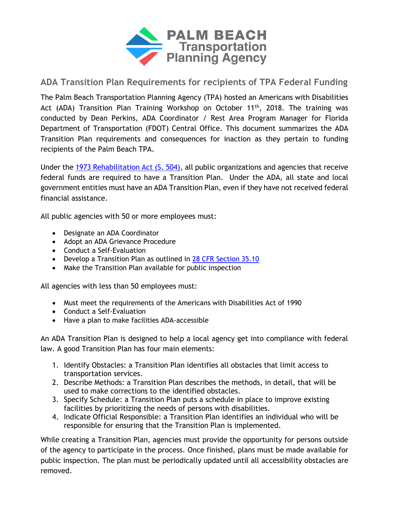

## **ADA Transition Plan Requirements for recipients of TPA Federal Funding**

The Palm Beach Transportation Planning Agency (TPA) hosted an Americans with Disabilities Act (ADA) Transition Plan Training Workshop on October 11<sup>th</sup>, 2018. The training was conducted by Dean Perkins, ADA Coordinator / Rest Area Program Manager for Florida Department of Transportation (FDOT) Central Office. This document summarizes the ADA Transition Plan requirements and consequences for inaction as they pertain to funding recipients of the Palm Beach TPA.

Under the [1973 Rehabilitation Act \(S. 504\),](https://www.ada.gov/cguide.htm#anchor65610) all public organizations and agencies that receive federal funds are required to have a Transition Plan. Under the ADA, all state and local government entities must have an ADA Transition Plan, even if they have not received federal financial assistance.

All public agencies with 50 or more employees must:

- Designate an ADA Coordinator
- Adopt an ADA Grievance Procedure
- Conduct a Self-Evaluation
- Develop a Transition Plan as outlined in [28 CFR Section 35.10](https://www.ada.gov/regs2010/titleII_2010/titleII_2010_regulations.htm#a35101)
- Make the Transition Plan available for public inspection

All agencies with less than 50 employees must:

- Must meet the requirements of the Americans with Disabilities Act of 1990
- Conduct a Self-Evaluation
- Have a plan to make facilities ADA-accessible

An ADA Transition Plan is designed to help a local agency get into compliance with federal law. A good Transition Plan has four main elements:

- 1. Identify Obstacles: a Transition Plan identifies all obstacles that limit access to transportation services.
- 2. Describe Methods: a Transition Plan describes the methods, in detail, that will be used to make corrections to the identified obstacles.
- 3. Specify Schedule: a Transition Plan puts a schedule in place to improve existing facilities by prioritizing the needs of persons with disabilities.
- 4. Indicate Official Responsible: a Transition Plan identifies an individual who will be responsible for ensuring that the Transition Plan is implemented.

While creating a Transition Plan, agencies must provide the opportunity for persons outside of the agency to participate in the process. Once finished, plans must be made available for public inspection. The plan must be periodically updated until all accessibility obstacles are removed.